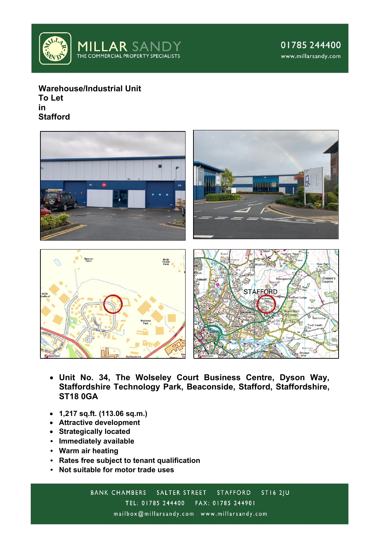

**Warehouse/Industrial Unit To Let in Stafford**



- **Unit No. 34, The Wolseley Court Business Centre, Dyson Way, Staffordshire Technology Park, Beaconside, Stafford, Staffordshire, ST18 0GA**
- **1,217 sq.ft. (113.06 sq.m.)**
- **Attractive development**
- **Strategically located**
- **Immediately available**
- **Warm air heating**
- **Rates free subject to tenant qualification**
- **Not suitable for motor trade uses**

 $STI62|U$ **BANK CHAMBERS** SALTER STREET STAFFORD TEL: 01785 244400 FAX: 01785 244901 mailbox@millarsandy.com www.millarsandy.com